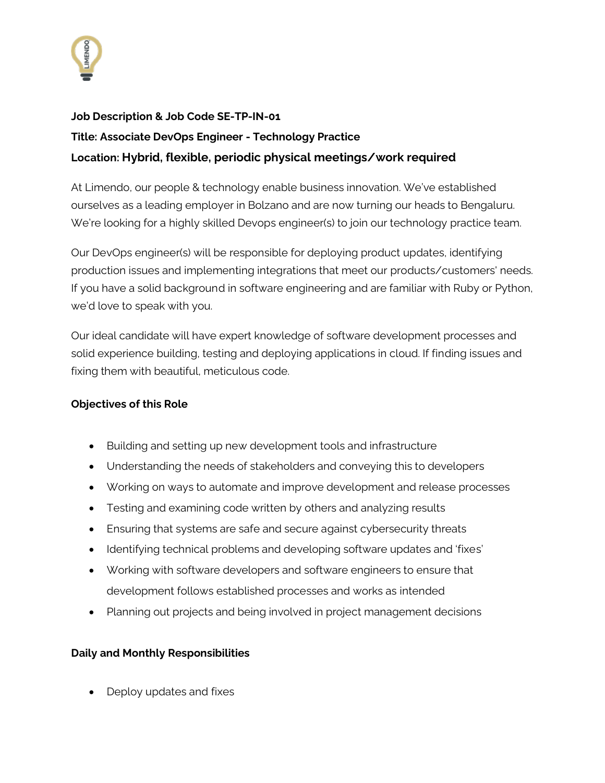

## **Job Description & Job Code SE-TP-IN-01 Title: Associate DevOps Engineer - Technology Practice Location: Hybrid, flexible, periodic physical meetings/work required**

At Limendo, our people & technology enable business innovation. We've established ourselves as a leading employer in Bolzano and are now turning our heads to Bengaluru. We're looking for a highly skilled Devops engineer(s) to join our technology practice team.

Our DevOps engineer(s) will be responsible for deploying product updates, identifying production issues and implementing integrations that meet our products/customers' needs. If you have a solid background in software engineering and are familiar with Ruby or Python, we'd love to speak with you.

Our ideal candidate will have expert knowledge of software development processes and solid experience building, testing and deploying applications in cloud. If finding issues and fixing them with beautiful, meticulous code.

## **Objectives of this Role**

- Building and setting up new development tools and infrastructure
- Understanding the needs of stakeholders and conveying this to developers
- Working on ways to automate and improve development and release processes
- Testing and examining code written by others and analyzing results
- Ensuring that systems are safe and secure against cybersecurity threats
- Identifying technical problems and developing software updates and 'fixes'
- Working with software developers and software engineers to ensure that development follows established processes and works as intended
- Planning out projects and being involved in project management decisions

## **Daily and Monthly Responsibilities**

• Deploy updates and fixes